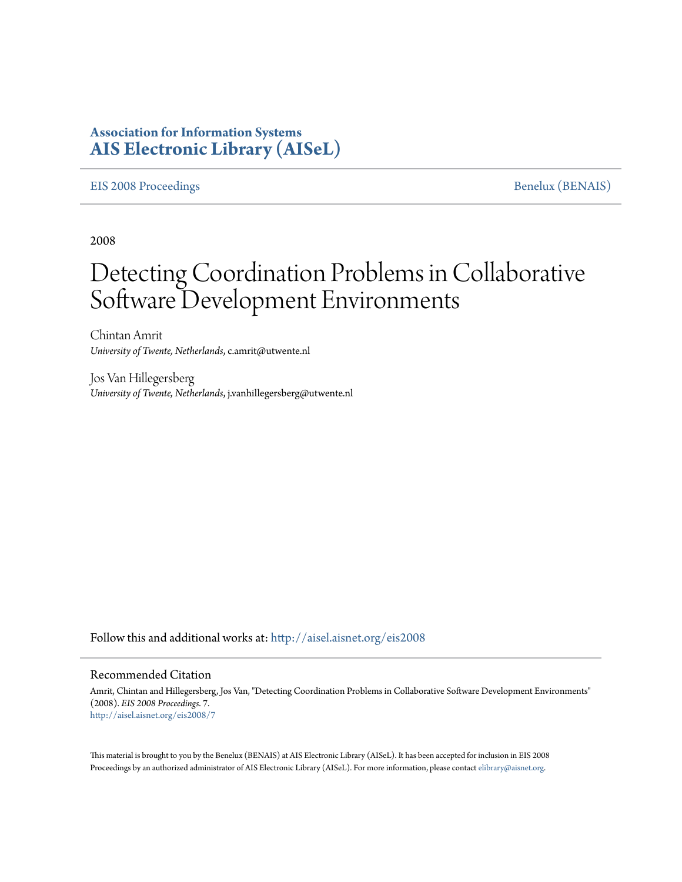## **Association for Information Systems [AIS Electronic Library \(AISeL\)](http://aisel.aisnet.org?utm_source=aisel.aisnet.org%2Feis2008%2F7&utm_medium=PDF&utm_campaign=PDFCoverPages)**

### [EIS 2008 Proceedings](http://aisel.aisnet.org/eis2008?utm_source=aisel.aisnet.org%2Feis2008%2F7&utm_medium=PDF&utm_campaign=PDFCoverPages) [Benelux \(BENAIS\)](http://aisel.aisnet.org/benais?utm_source=aisel.aisnet.org%2Feis2008%2F7&utm_medium=PDF&utm_campaign=PDFCoverPages)

2008

# Detecting Coordination Problems in Collaborative Software Development Environments

Chintan Amrit *University of Twente, Netherlands*, c.amrit@utwente.nl

Jos Van Hillegersberg *University of Twente, Netherlands*, j.vanhillegersberg@utwente.nl

Follow this and additional works at: [http://aisel.aisnet.org/eis2008](http://aisel.aisnet.org/eis2008?utm_source=aisel.aisnet.org%2Feis2008%2F7&utm_medium=PDF&utm_campaign=PDFCoverPages)

#### Recommended Citation

Amrit, Chintan and Hillegersberg, Jos Van, "Detecting Coordination Problems in Collaborative Software Development Environments" (2008). *EIS 2008 Proceedings*. 7. [http://aisel.aisnet.org/eis2008/7](http://aisel.aisnet.org/eis2008/7?utm_source=aisel.aisnet.org%2Feis2008%2F7&utm_medium=PDF&utm_campaign=PDFCoverPages)

This material is brought to you by the Benelux (BENAIS) at AIS Electronic Library (AISeL). It has been accepted for inclusion in EIS 2008 Proceedings by an authorized administrator of AIS Electronic Library (AISeL). For more information, please contact [elibrary@aisnet.org](mailto:elibrary@aisnet.org%3E).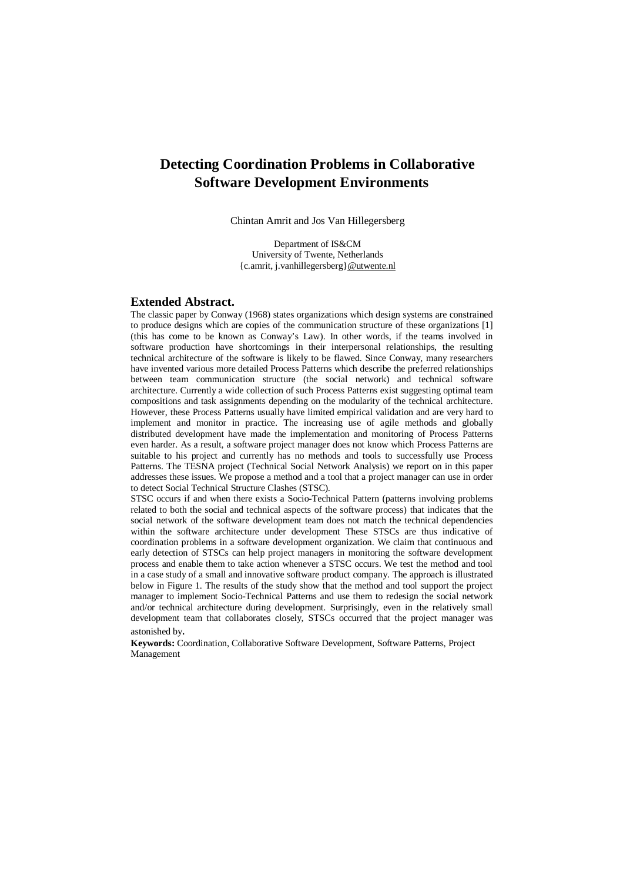## **Detecting Coordination Problems in Collaborative Software Development Environments**

Chintan Amrit and Jos Van Hillegersberg

Department of IS&CM University of Twente, Netherlands {c.amrit, j.vanhillegersberg}[@utwente.nl](mailto:@utwente.nl)

#### **Extended Abstract.**

The classic paper by Conway (1968) states organizations which design systems are constrained to produce designs which are copies of the communication structure of these organizations [1] (this has come to be known as Conway's Law). In other words, if the teams involved in software production have shortcomings in their interpersonal relationships, the resulting technical architecture of the software is likely to be flawed. Since Conway, many researchers have invented various more detailed Process Patterns which describe the preferred relationships between team communication structure (the social network) and technical software architecture. Currently a wide collection of such Process Patterns exist suggesting optimal team compositions and task assignments depending on the modularity of the technical architecture. However, these Process Patterns usually have limited empirical validation and are very hard to implement and monitor in practice. The increasing use of agile methods and globally distributed development have made the implementation and monitoring of Process Patterns even harder. As a result, a software project manager does not know which Process Patterns are suitable to his project and currently has no methods and tools to successfully use Process Patterns. The TESNA project (Technical Social Network Analysis) we report on in this paper addresses these issues. We propose a method and a tool that a project manager can use in order to detect Social Technical Structure Clashes (STSC).

STSC occurs if and when there exists a Socio-Technical Pattern (patterns involving problems related to both the social and technical aspects of the software process) that indicates that the social network of the software development team does not match the technical dependencies within the software architecture under development These STSCs are thus indicative of coordination problems in a software development organization. We claim that continuous and early detection of STSCs can help project managers in monitoring the software development process and enable them to take action whenever a STSC occurs. We test the method and tool in a case study of a small and innovative software product company. The approach is illustrated below in Figure 1. The results of the study show that the method and tool support the project manager to implement Socio-Technical Patterns and use them to redesign the social network and/or technical architecture during development. Surprisingly, even in the relatively small development team that collaborates closely, STSCs occurred that the project manager was astonished by.

**Keywords:** Coordination, Collaborative Software Development, Software Patterns, Project Management